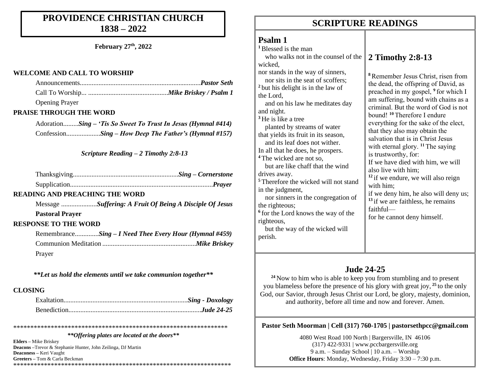# **PROVIDENCE CHRISTIAN CHURCH 1838 – 2022**

**February 27 th, 2022**

### **WELCOME AND CALL TO WORSHIP**

| <b>Opening Prayer</b> |  |
|-----------------------|--|

## **PRAISE THROUGH THE WORD**

Adoration.........*Sing – 'Tis So Sweet To Trust In Jesus (Hymnal #414)* Confession....................*Sing – How Deep The Father's (Hymnal #157)*

*Scripture Reading – 2 Timothy 2:8-13*

## **READING AND PREACHING THE WORD**

Message .....................*Suffering: A Fruit Of Being A Disciple Of Jesus* **Pastoral Prayer** 

# **RESPONSE TO THE WORD**

Remembrance..............*Sing – I Need Thee Every Hour (Hymnal #459)* Communion Meditation .......................................................*Mike Briskey* Prayer

*\*\*Let us hold the elements until we take communion together\*\**

## **CLOSING**

\*\*\*\*\*\*\*\*\*\*\*\*\*\*\*\*\*\*\*\*\*\*\*\*\*\*\*\*\*\*\*\*\*\*\*\*\*\*\*\*\*\*\*\*\*\*\*\*\*\*\*\*\*\*\*\*\*\*\*\*\*\*\*

### *\*\*Offering plates are located at the doors\*\**

**Elders –** Mike Briskey **Deacons –**Trevor & Stephanie Hunter, John Zeilinga, DJ Martin **Deaconess –** Keri Vaught **Greeters –** Tom & Carla Beckman \*\*\*\*\*\*\*\*\*\*\*\*\*\*\*\*\*\*\*\*\*\*\*\*\*\*\*\*\*\*\*\*\*\*\*\*\*\*\*\*\*\*\*\*\*\*\*\*\*\*\*\*\*\*\*\*\*\*\*\*\*\*\*\*

# **SCRIPTURE READINGS SCRIPTURE READINGS**

# **Psalm 1**

perish.

**<sup>1</sup>**Blessed is the man who walks not in the counsel of the wicked, nor stands in the way of sinners, nor sits in the seat of scoffers; **<sup>2</sup>** but his delight is in the law of the Lord, and on his law he meditates day and night. **<sup>3</sup>** He is like a tree planted by streams of water that yields its fruit in its season, and its leaf does not wither. In all that he does, he prospers. **<sup>4</sup>** The wicked are not so, but are like chaff that the wind drives away. **<sup>5</sup>** Therefore the wicked will not stand in the judgment, nor sinners in the congregation of the righteous; **6** for the Lord knows the way of the righteous, but the way of the wicked will **2 Timothy 2:8-13**

**<sup>8</sup>**Remember Jesus Christ, risen from the dead, the offspring of David, as preached in my gospel, **<sup>9</sup>** for which I am suffering, bound with chains as a criminal. But the word of God is not bound! **<sup>10</sup>** Therefore I endure everything for the sake of the elect, that they also may obtain the salvation that is in Christ Jesus with eternal glory. <sup>11</sup> The saying is trustworthy, for: If we have died with him, we will also live with him; **<sup>12</sup>** if we endure, we will also reign with him; if we deny him, he also will deny us; <sup>13</sup> if we are faithless, he remains faithful for he cannot deny himself.

# **Jude 24-25**

**<sup>24</sup>** Now to him who is able to keep you from stumbling and to present you blameless before the presence of his glory with great joy, **<sup>25</sup>** to the only God, our Savior, through Jesus Christ our Lord, be glory, majesty, dominion, and authority, before all time and now and forever. Amen.

## **Pastor Seth Moorman | Cell (317) 760-1705 | pastorsethpcc@gmail.com**

4080 West Road 100 North | Bargersville, IN 46106 (317) 422-9331 | www.pccbargersville.org 9 a.m. – Sunday School | 10 a.m. – Worship **Office Hours**: Monday, Wednesday, Friday 3:30 – 7:30 p.m.